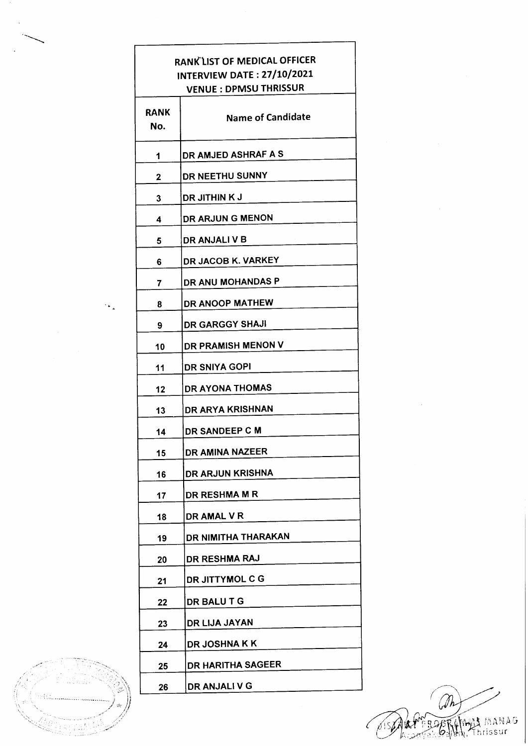## **RANK LIST OF MEDICAL OFFICER** INTERVIEW DATE: 27/10/2021 **VENUE : DPMSU THRISSUR**

| RANK<br>No. | <b>Name of Candidate</b> |
|-------------|--------------------------|
| 1           | DR AMJED ASHRAF A S      |
| 2           | DR NEETHU SUNNY          |
| 3           | DR JITHIN K J            |
| 4           | DR ARJUN G MENON         |
| 5           | DR ANJALI V B            |
| 6           | DR JACOB K. VARKEY       |
| 7           | DR ANU MOHANDAS P        |
| 8           | DR ANOOP MATHEW          |
| 9           | <b>DR GARGGY SHAJI</b>   |
| 10          | DR PRAMISH MENON V       |
| 11          | <b>DR SNIYA GOPI</b>     |
| 12          | <b>DR AYONA THOMAS</b>   |
| 13          | DR ARYA KRISHNAN         |
| 14          | DR SANDEEP C M           |
| 15          | DR AMINA NAZEER          |
| 16          | DR ARJUN KRISHNA         |
| 17          | DR RESHMA M R            |
| 18          | DR AMAL V R              |
| 19          | DR NIMITHA THARAKAN      |
| 20          | DR RESHMA RAJ            |
| 21          | DR JITTYMOL C G          |
| 22          | DR BALU T G              |
| 23          | DR LIJA JAYAN            |
| 24          | <b>DR JOSHNA K K</b>     |
| 25          | <b>DR HARITHA SAGEER</b> |
| 26          | DR ANJALI V G            |

 $\widehat{\mathscr{D}}$ A<mark>A</mark> MANAG<br>Thrissur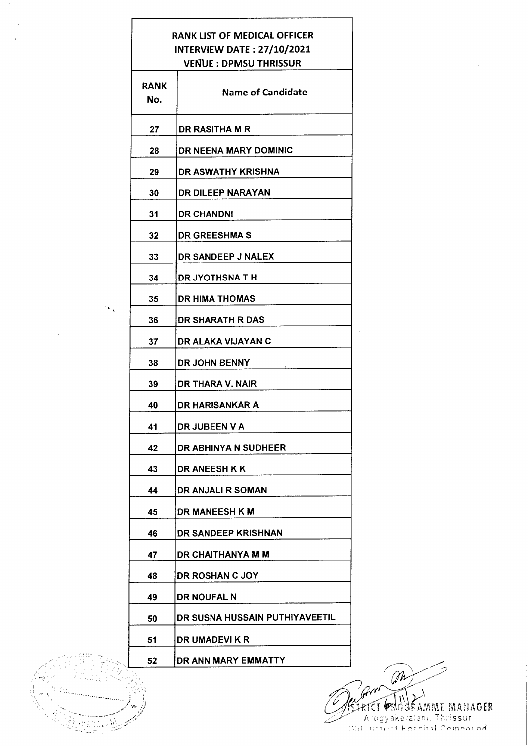## RANK LIST OF MEDICAL OFFICER **INTERVIEW DATE: 27/10/2021** VENUE : DPMSU THRISSUR

| RANK<br>No. | <b>Name of Candidate</b>       |
|-------------|--------------------------------|
| 27          | <b>DR RASITHA M R</b>          |
| 28          | DR NEENA MARY DOMINIC          |
| 29          | DR ASWATHY KRISHNA             |
| 30          | DR DILEEP NARAYAN              |
| 31          | <b>DR CHANDNI</b>              |
| 32          | <b>DR GREESHMA S</b>           |
| 33          | DR SANDEEP J NALEX             |
| 34          | <b>DR JYOTHSNA T H</b>         |
| 35          | <b>DR HIMA THOMAS</b>          |
| 36          | <b>DR SHARATH R DAS</b>        |
| 37          | DR ALAKA VIJAYAN C             |
| 38          | DR JOHN BENNY                  |
| 39          | DR THARA V. NAIR               |
| 40          | DR HARISANKAR A                |
| 41          | DR JUBEEN V A                  |
| 42          | DR ABHINYA N SUDHEER           |
| 43          | <b>DR ANEESH K K</b>           |
| 44          | DR ANJALI R SOMAN              |
| 45          | <b>DR MANEESH K M</b>          |
| 46          | DR SANDEEP KRISHNAN            |
| 47          | DR CHAITHANYA M M              |
| 48          | <b>DR ROSHAN C JOY</b>         |
| 49          | <b>DR NOUFAL N</b>             |
| 50          | DR SUSNA HUSSAIN PUTHIYAVEETIL |
| 51          | DR UMADEVI K R                 |
| 52          | DR ANN MARY EMMATTY            |

 $\left\{ \begin{array}{c} \mathbb{I} & \mathbb{I} \\ \mathbb{I} & \mathbb{I} \end{array} \right.$ 

 $\mathcal{L}_{\mathbf{k}}$ 

'.',1

Annan A

M Grand Wallen MANAGER Arogyakeralam, Thrissur<br>Old District Posnital Compound